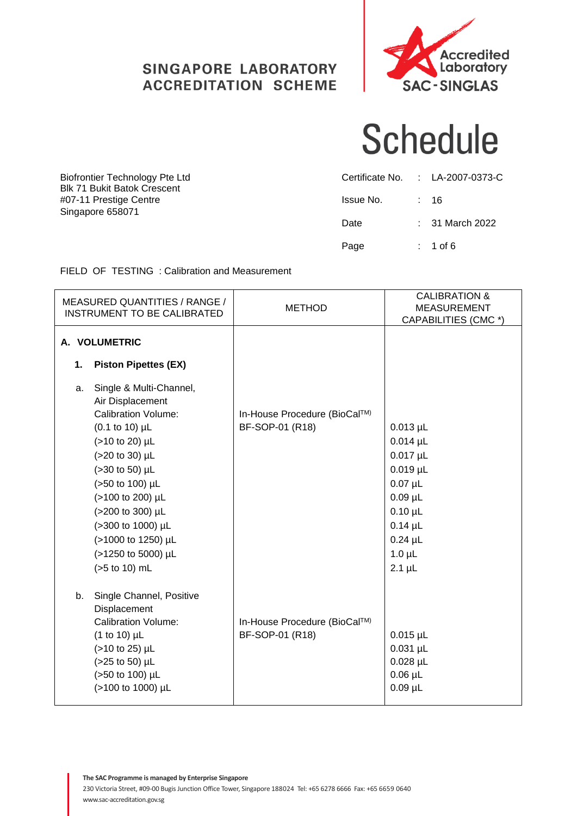#### SINGAPORE LABORATORY **ACCREDITATION SCHEME**



# **Schedule**

|           | Certificate No. : LA-2007-0373-C |
|-----------|----------------------------------|
| Issue No. | : 16                             |
| Date      | $: 31$ March 2022                |
| Page      | : 1 of 6                         |

Biofrontier Technology Pte Ltd Blk 71 Bukit Batok Crescent #07-11 Prestige Centre Singapore 658071

FIELD OF TESTING : Calibration and Measurement

| <b>MEASURED QUANTITIES / RANGE /</b><br><b>INSTRUMENT TO BE CALIBRATED</b>                                                                                                                                                                                                                                                | <b>METHOD</b>                                   | <b>CALIBRATION &amp;</b><br><b>MEASUREMENT</b><br>CAPABILITIES (CMC *)                                                                                 |
|---------------------------------------------------------------------------------------------------------------------------------------------------------------------------------------------------------------------------------------------------------------------------------------------------------------------------|-------------------------------------------------|--------------------------------------------------------------------------------------------------------------------------------------------------------|
| A. VOLUMETRIC                                                                                                                                                                                                                                                                                                             |                                                 |                                                                                                                                                        |
| <b>Piston Pipettes (EX)</b><br>1.                                                                                                                                                                                                                                                                                         |                                                 |                                                                                                                                                        |
| Single & Multi-Channel,<br>a.<br>Air Displacement<br><b>Calibration Volume:</b><br>$(0.1 \text{ to } 10) \mu L$<br>(>10 to 20) µL<br>(>20 to 30) µL<br>$(>30$ to 50) $\mu$ L<br>(>50 to 100) µL<br>(>100 to 200) µL<br>(>200 to 300) µL<br>(>300 to 1000) µL<br>(>1000 to 1250) µL<br>(>1250 to 5000) µL<br>(>5 to 10) mL | In-House Procedure (BioCal™)<br>BF-SOP-01 (R18) | $0.013$ µL<br>$0.014$ µL<br>$0.017$ µL<br>$0.019$ µL<br>$0.07$ µL<br>$0.09$ µL<br>$0.10 \mu L$<br>$0.14$ µL<br>$0.24$ µL<br>$1.0 \mu L$<br>$2.1 \mu L$ |
| Single Channel, Positive<br>b.<br>Displacement<br><b>Calibration Volume:</b><br>$(1 to 10)$ µL<br>(>10 to 25) µL<br>(>25 to 50) µL<br>(>50 to 100) µL<br>(>100 to 1000) µL                                                                                                                                                | In-House Procedure (BioCal™)<br>BF-SOP-01 (R18) | $0.015$ µL<br>$0.031$ µL<br>$0.028$ µL<br>$0.06$ µL<br>$0.09$ µL                                                                                       |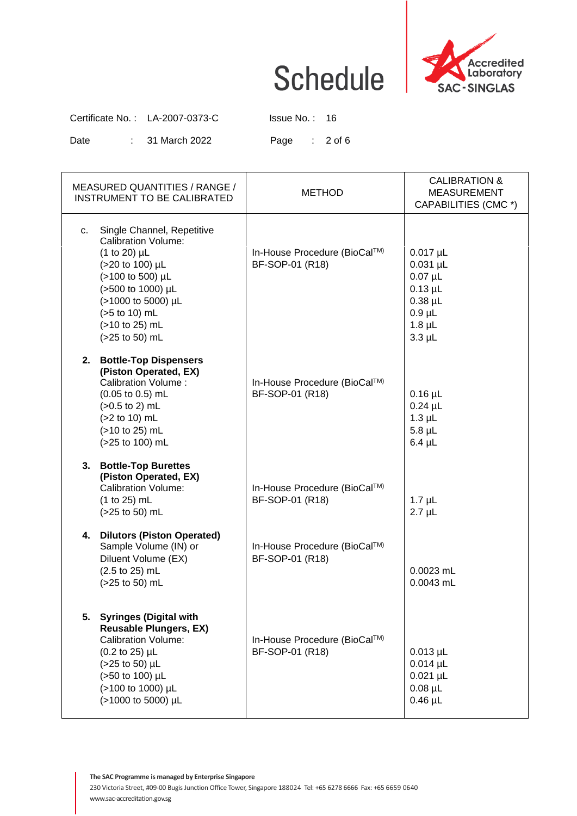

Certificate No. : LA-2007-0373-C Issue No. : 16

Date : 31 March 2022 Page : 2 of 6

| MEASURED QUANTITIES / RANGE /<br><b>INSTRUMENT TO BE CALIBRATED</b>                                                                                                                                                     | <b>METHOD</b>                                   | <b>CALIBRATION &amp;</b><br><b>MEASUREMENT</b><br>CAPABILITIES (CMC *)                                   |
|-------------------------------------------------------------------------------------------------------------------------------------------------------------------------------------------------------------------------|-------------------------------------------------|----------------------------------------------------------------------------------------------------------|
| Single Channel, Repetitive<br>C.<br><b>Calibration Volume:</b><br>$(1 to 20)$ µL<br>(>20 to 100) µL<br>(>100 to 500) µL<br>(>500 to 1000) µL<br>(>1000 to 5000) µL<br>(>5 to 10) mL<br>(>10 to 25) mL<br>(>25 to 50) mL | In-House Procedure (BioCal™)<br>BF-SOP-01 (R18) | $0.017$ µL<br>$0.031$ µL<br>$0.07$ µL<br>$0.13$ µL<br>$0.38$ µL<br>$0.9$ µL<br>$1.8$ µL<br>$3.3$ $\mu$ L |
| 2. Bottle-Top Dispensers<br>(Piston Operated, EX)<br><b>Calibration Volume:</b><br>$(0.05 \text{ to } 0.5) \text{ mL}$<br>$(>0.5$ to 2) mL<br>(>2 to 10) mL<br>(>10 to 25) mL<br>(>25 to 100) mL                        | In-House Procedure (BioCal™)<br>BF-SOP-01 (R18) | $0.16$ µL<br>$0.24$ µL<br>$1.3$ $\mu$ L<br>$5.8$ µL<br>$6.4 \mu L$                                       |
| 3. Bottle-Top Burettes<br>(Piston Operated, EX)<br><b>Calibration Volume:</b><br>(1 to 25) mL<br>(>25 to 50) mL                                                                                                         | In-House Procedure (BioCal™)<br>BF-SOP-01 (R18) | $1.7 \mu L$<br>$2.7 \mu L$                                                                               |
| 4. Dilutors (Piston Operated)<br>Sample Volume (IN) or<br>Diluent Volume (EX)<br>(2.5 to 25) mL<br>(>25 to 50) mL                                                                                                       | In-House Procedure (BioCal™)<br>BF-SOP-01 (R18) | $0.0023$ mL<br>$0.0043$ mL                                                                               |
| 5. Syringes (Digital with<br><b>Reusable Plungers, EX)</b><br><b>Calibration Volume:</b><br>(0.2 to 25) µL<br>(>25 to 50) µL<br>(>50 to 100) µL<br>(>100 to 1000) µL<br>(>1000 to 5000) µL                              | In-House Procedure (BioCal™)<br>BF-SOP-01 (R18) | $0.013 \mu L$<br>$0.014$ µL<br>$0.021 \mu L$<br>$0.08$ µL<br>$0.46$ µL                                   |

**The SAC Programme is managed by Enterprise Singapore**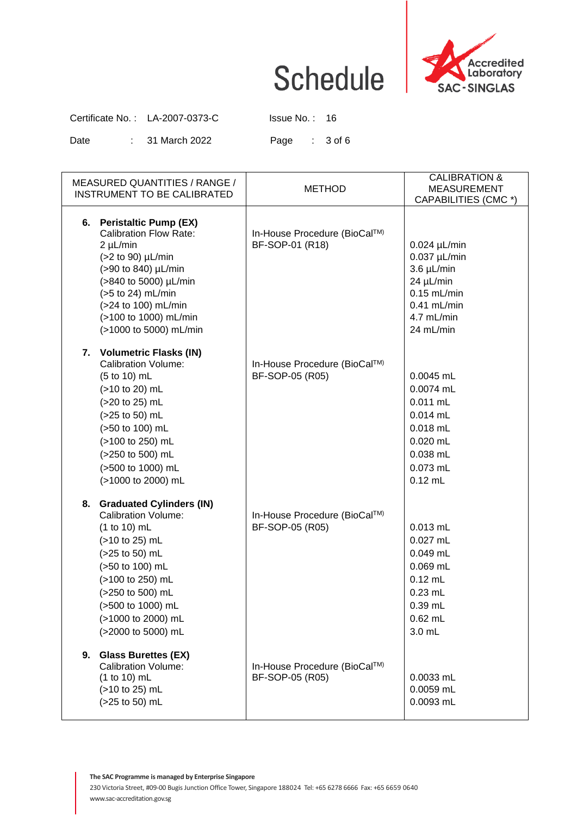

Certificate No. : LA-2007-0373-C Issue No. : 16

Date : 31 March 2022 Page : 3 of 6

| MEASURED QUANTITIES / RANGE /<br>INSTRUMENT TO BE CALIBRATED                                                                                                                                                                                   | <b>METHOD</b>                                   | <b>CALIBRATION &amp;</b><br><b>MEASUREMENT</b><br>CAPABILITIES (CMC *)                                                        |
|------------------------------------------------------------------------------------------------------------------------------------------------------------------------------------------------------------------------------------------------|-------------------------------------------------|-------------------------------------------------------------------------------------------------------------------------------|
| 6. Peristaltic Pump (EX)<br><b>Calibration Flow Rate:</b><br>$2 \mu L/min$<br>(>2 to 90) µL/min<br>(>90 to 840) µL/min<br>(>840 to 5000) µL/min<br>(>5 to 24) mL/min<br>(>24 to 100) mL/min<br>(>100 to 1000) mL/min<br>(>1000 to 5000) mL/min | In-House Procedure (BioCal™)<br>BF-SOP-01 (R18) | $0.024$ µL/min<br>$0.037$ µL/min<br>$3.6 \mu L/min$<br>24 µL/min<br>$0.15$ mL/min<br>$0.41$ mL/min<br>4.7 mL/min<br>24 mL/min |
| 7. Volumetric Flasks (IN)<br><b>Calibration Volume:</b><br>(5 to 10) mL<br>(>10 to 20) mL<br>(>20 to 25) mL<br>(>25 to 50) mL<br>(>50 to 100) mL<br>(>100 to 250) mL<br>(>250 to 500) mL<br>(>500 to 1000) mL<br>(>1000 to 2000) mL            | In-House Procedure (BioCal™)<br>BF-SOP-05 (R05) | $0.0045$ mL<br>0.0074 mL<br>$0.011$ mL<br>$0.014$ mL<br>$0.018$ mL<br>$0.020$ mL<br>$0.038$ mL<br>0.073 mL<br>$0.12$ mL       |
| 8. Graduated Cylinders (IN)<br><b>Calibration Volume:</b><br>$(1 to 10)$ mL<br>(>10 to 25) mL<br>(>25 to 50) mL<br>(>50 to 100) mL<br>(>100 to 250) mL<br>(>250 to 500) mL<br>(>500 to 1000) mL<br>(>1000 to 2000) mL<br>(>2000 to 5000) mL    | In-House Procedure (BioCal™)<br>BF-SOP-05 (R05) | $0.013$ mL<br>$0.027$ mL<br>$0.049$ mL<br>$0.069$ mL<br>$0.12$ mL<br>$0.23$ mL<br>0.39 mL<br>$0.62$ mL<br>3.0 mL              |
| <b>Glass Burettes (EX)</b><br>9.<br><b>Calibration Volume:</b><br>(1 to 10) mL<br>(>10 to 25) mL<br>(>25 to 50) mL                                                                                                                             | In-House Procedure (BioCal™)<br>BF-SOP-05 (R05) | 0.0033 mL<br>0.0059 mL<br>0.0093 mL                                                                                           |

**The SAC Programme is managed by Enterprise Singapore**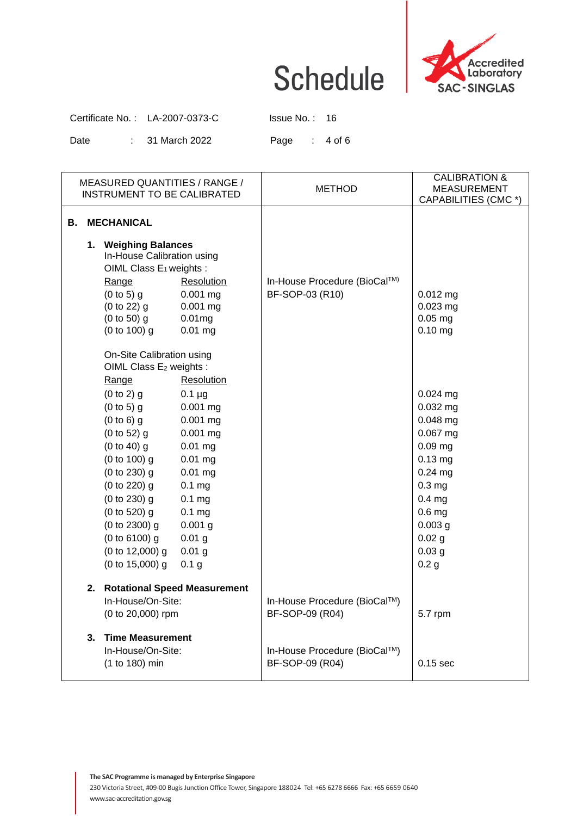

Certificate No. : LA-2007-0373-C Issue No. : 16

Date : 31 March 2022 Page : 4 of 6

| MEASURED QUANTITIES / RANGE /<br>INSTRUMENT TO BE CALIBRATED                                                                                                                                                                                                                                                                                                                                                                                                                                                                                                         | <b>METHOD</b>                                   | <b>CALIBRATION &amp;</b><br><b>MEASUREMENT</b><br>CAPABILITIES (CMC *)                                                                                                                                                     |
|----------------------------------------------------------------------------------------------------------------------------------------------------------------------------------------------------------------------------------------------------------------------------------------------------------------------------------------------------------------------------------------------------------------------------------------------------------------------------------------------------------------------------------------------------------------------|-------------------------------------------------|----------------------------------------------------------------------------------------------------------------------------------------------------------------------------------------------------------------------------|
| <b>MECHANICAL</b><br>В.                                                                                                                                                                                                                                                                                                                                                                                                                                                                                                                                              |                                                 |                                                                                                                                                                                                                            |
| 1. Weighing Balances<br>In-House Calibration using<br>OIML Class E <sub>1</sub> weights :<br>Range<br>Resolution<br>$(0 to 5)$ g<br>$0.001$ mg<br>(0 to 22) g<br>$0.001$ mg<br>(0 to 50) g<br>0.01mg<br>(0 to 100) g<br>$0.01$ mg                                                                                                                                                                                                                                                                                                                                    | In-House Procedure (BioCal™)<br>BF-SOP-03 (R10) | $0.012$ mg<br>$0.023$ mg<br>$0.05$ mg<br>$0.10$ mg                                                                                                                                                                         |
| On-Site Calibration using<br>OIML Class E <sub>2</sub> weights :<br>Range<br><b>Resolution</b><br>(0 to 2) g<br>$0.1 \mu g$<br>(0 to 5) g<br>$0.001$ mg<br>$(0 to 6)$ g<br>$0.001$ mg<br>(0 to 52) g<br>$0.001$ mg<br>$(0 to 40)$ g<br>$0.01$ mg<br>(0 to 100) g<br>$0.01$ mg<br>$(0 to 230)$ g<br>$0.01$ mg<br>(0 to 220) g<br>0.1 <sub>mg</sub><br>(0 to 230) g<br>0.1 <sub>mg</sub><br>(0 to 520) g<br>0.1 <sub>mg</sub><br>$(0 to 2300)$ g<br>$0.001$ g<br>$(0 to 6100)$ g<br>$0.01$ g<br>$(0 to 12,000)$ g<br>$0.01$ g<br>$(0 to 15,000)$ g<br>0.1 <sub>g</sub> |                                                 | $0.024$ mg<br>$0.032$ mg<br>$0.048$ mg<br>$0.067$ mg<br>$0.09$ mg<br>$0.13$ mg<br>$0.24$ mg<br>0.3 <sub>mg</sub><br>0.4 <sub>mg</sub><br>0.6 <sub>mg</sub><br>$0.003$ g<br>0.02 g<br>0.03 <sub>g</sub><br>0.2 <sub>g</sub> |
| 2. Rotational Speed Measurement<br>In-House/On-Site:<br>(0 to 20,000) rpm                                                                                                                                                                                                                                                                                                                                                                                                                                                                                            | In-House Procedure (BioCal™)<br>BF-SOP-09 (R04) | 5.7 rpm                                                                                                                                                                                                                    |
| <b>Time Measurement</b><br>3.<br>In-House/On-Site:<br>(1 to 180) min                                                                                                                                                                                                                                                                                                                                                                                                                                                                                                 | In-House Procedure (BioCal™)<br>BF-SOP-09 (R04) | $0.15$ sec                                                                                                                                                                                                                 |

**The SAC Programme is managed by Enterprise Singapore**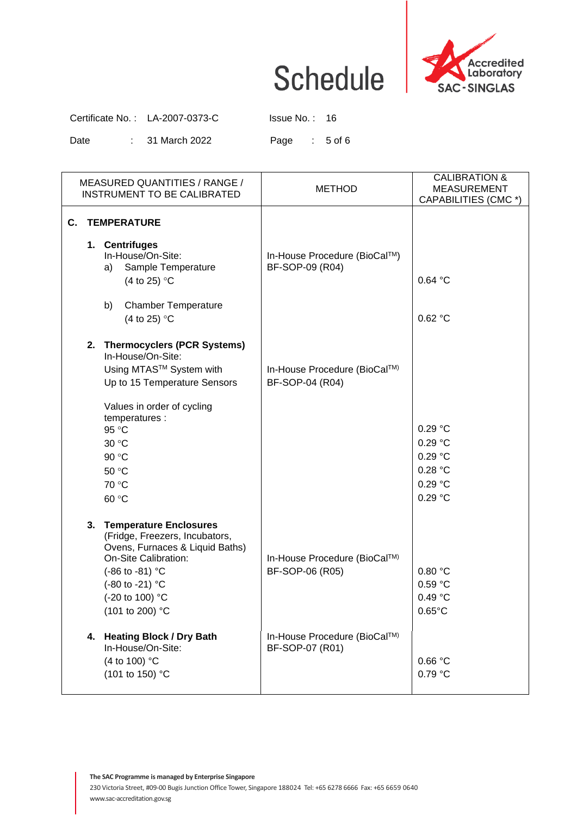

Certificate No. : LA-2007-0373-C Issue No. : 16

Date : 31 March 2022 Page : 5 of 6

| MEASURED QUANTITIES / RANGE /<br>INSTRUMENT TO BE CALIBRATED                                                                                                                                                         | <b>METHOD</b>                                   | <b>CALIBRATION &amp;</b><br><b>MEASUREMENT</b><br>CAPABILITIES (CMC *) |
|----------------------------------------------------------------------------------------------------------------------------------------------------------------------------------------------------------------------|-------------------------------------------------|------------------------------------------------------------------------|
| C.<br><b>TEMPERATURE</b><br>1. Centrifuges<br>In-House/On-Site:<br>Sample Temperature<br>a)<br>(4 to 25) $\degree$ C<br><b>Chamber Temperature</b><br>b)<br>(4 to 25) $\degree$ C                                    | In-House Procedure (BioCal™)<br>BF-SOP-09 (R04) | 0.64 °C<br>0.62 °C                                                     |
| 2. Thermocyclers (PCR Systems)<br>In-House/On-Site:<br>Using MTAS™ System with<br>Up to 15 Temperature Sensors<br>Values in order of cycling<br>temperatures :<br>95 °C<br>30 °C<br>90 °C<br>50 °C<br>70 °C<br>60 °C | In-House Procedure (BioCal™)<br>BF-SOP-04 (R04) | 0.29 °C<br>0.29 °C<br>0.29 °C<br>0.28 °C<br>0.29 °C<br>0.29 °C         |
| 3. Temperature Enclosures<br>(Fridge, Freezers, Incubators,<br>Ovens, Furnaces & Liquid Baths)<br>On-Site Calibration:<br>(-86 to -81) °C<br>(-80 to -21) °C<br>(-20 to 100) °C<br>(101 to 200) °C                   | In-House Procedure (BioCal™)<br>BF-SOP-06 (R05) | 0.80 °C<br>0.59 °C<br>0.49 °C<br>$0.65^{\circ}$ C                      |
| <b>Heating Block / Dry Bath</b><br>4.<br>In-House/On-Site:<br>(4 to 100) °C<br>(101 to 150) °C                                                                                                                       | In-House Procedure (BioCal™)<br>BF-SOP-07 (R01) | $0.66\ ^{\circ}\textrm{C}$<br>0.79 °C                                  |

**The SAC Programme is managed by Enterprise Singapore**